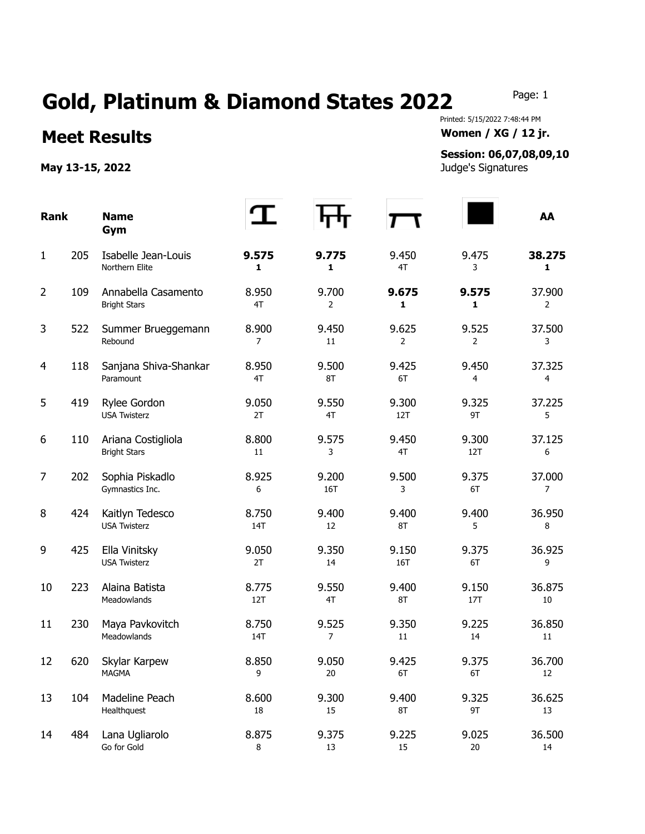## Gold, Platinum & Diamond States 2022 Page: 1

Printed: 5/15/2022 7:48:44 PM **Meet Results Women / XG / 12 jr.** 

## **Session: 06,07,08,09,10**

| <b>Rank</b>    |     | <b>Name</b><br>Gym                         |                  |              |              |                         | AA           |
|----------------|-----|--------------------------------------------|------------------|--------------|--------------|-------------------------|--------------|
| $\mathbf{1}$   | 205 | Isabelle Jean-Louis<br>Northern Elite      | 9.575<br>1       | 9.775<br>1   | 9.450<br>4T  | 9.475<br>3              | 38.275<br>1  |
| $\overline{2}$ | 109 | Annabella Casamento<br><b>Bright Stars</b> | 8.950<br>4T      | 9.700<br>2   | 9.675<br>1   | 9.575<br>1              | 37.900<br>2  |
| 3              | 522 | Summer Brueggemann<br>Rebound              | 8.900<br>7       | 9.450<br>11  | 9.625<br>2   | 9.525<br>$\overline{2}$ | 37.500<br>3  |
| 4              | 118 | Sanjana Shiva-Shankar<br>Paramount         | 8.950<br>4T      | 9.500<br>8T  | 9.425<br>6T  | 9.450<br>4              | 37.325<br>4  |
| 5              | 419 | Rylee Gordon<br><b>USA Twisterz</b>        | 9.050<br>2T      | 9.550<br>4T  | 9.300<br>12T | 9.325<br>9T             | 37.225<br>5  |
| 6              | 110 | Ariana Costigliola<br><b>Bright Stars</b>  | 8.800<br>11      | 9.575<br>3   | 9.450<br>4T  | 9.300<br>12T            | 37.125<br>6  |
| 7              | 202 | Sophia Piskadlo<br>Gymnastics Inc.         | 8.925<br>6       | 9.200<br>16T | 9.500<br>3   | 9.375<br>6T             | 37.000<br>7  |
| 8              | 424 | Kaitlyn Tedesco<br><b>USA Twisterz</b>     | 8.750<br>14T     | 9.400<br>12  | 9.400<br>8T  | 9.400<br>5              | 36.950<br>8  |
| 9              | 425 | Ella Vinitsky<br><b>USA Twisterz</b>       | 9.050<br>2T      | 9.350<br>14  | 9.150<br>16T | 9.375<br>6T             | 36.925<br>9  |
| 10             | 223 | Alaina Batista<br>Meadowlands              | 8.775<br>12T     | 9.550<br>4T  | 9.400<br>8T  | 9.150<br>17T            | 36.875<br>10 |
| 11             | 230 | Maya Pavkovitch<br>Meadowlands             | 8.750<br>14T     | 9.525<br>7   | 9.350<br>11  | 9.225<br>14             | 36.850<br>11 |
| 12             | 620 | Skylar Karpew<br><b>MAGMA</b>              | 8.850<br>9       | 9.050<br>20  | 9.425<br>6T  | 9.375<br>6T             | 36.700<br>12 |
| 13             | 104 | Madeline Peach<br>Healthquest              | 8.600<br>18      | 9.300<br>15  | 9.400<br>8T  | 9.325<br>9T             | 36.625<br>13 |
| 14             | 484 | Lana Ugliarolo<br>Go for Gold              | 8.875<br>$\,8\,$ | 9.375<br>13  | 9.225<br>15  | 9.025<br>$20\,$         | 36.500<br>14 |

**May 13-15, 2022** Judge's Signatures